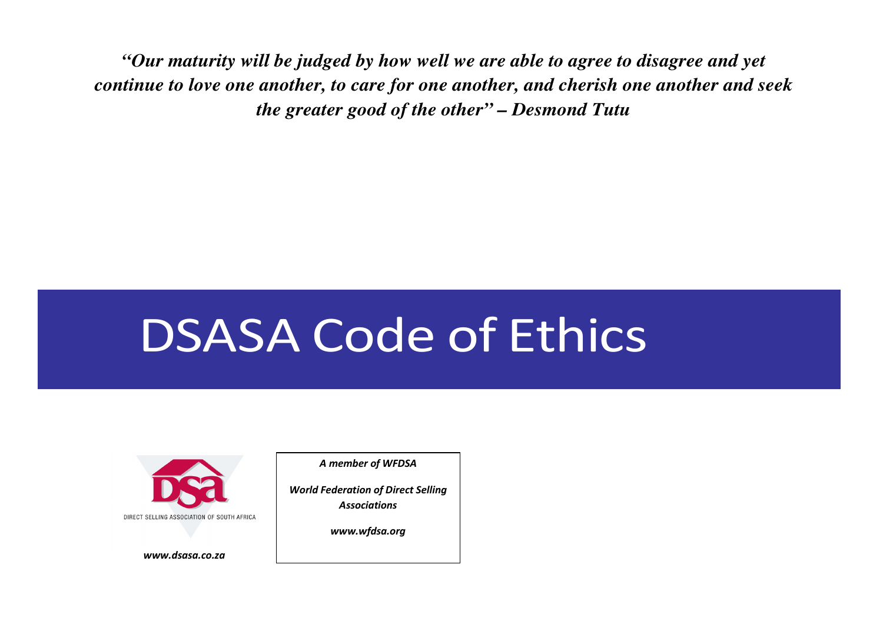*"Our maturity will be judged by how well we are able to agree to disagree and yet continue to love one another, to care for one another, and cherish one another and seek the greater good of the other" – Desmond Tutu* 

# DSASA Code of Ethics



www.dsasa.co.za

A member of WFDSA

World Federation of Direct Selling **Associations** 

www.wfdsa.org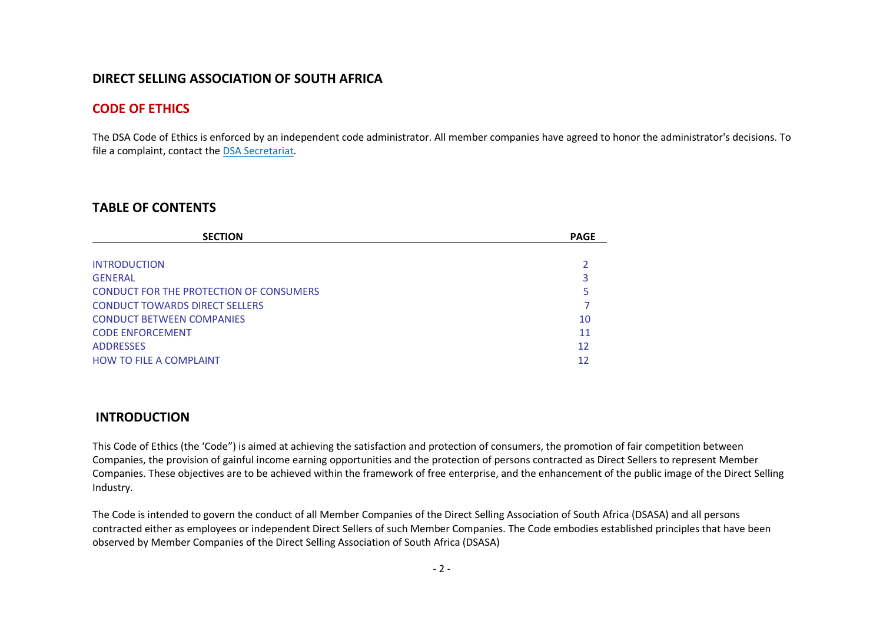| DIRECT SELLING ASSOCIATION OF SOUTH AFRICA                                                                                                                                                                                                                                                                                                                                                                                                                              |                                          |  |
|-------------------------------------------------------------------------------------------------------------------------------------------------------------------------------------------------------------------------------------------------------------------------------------------------------------------------------------------------------------------------------------------------------------------------------------------------------------------------|------------------------------------------|--|
| <b>CODE OF ETHICS</b>                                                                                                                                                                                                                                                                                                                                                                                                                                                   |                                          |  |
| The DSA Code of Ethics is enforced by an independent code administrator. All member companies have agreed to honor the administrator's decisions. To<br>file a complaint, contact the DSA Secretariat.                                                                                                                                                                                                                                                                  |                                          |  |
| <b>TABLE OF CONTENTS</b>                                                                                                                                                                                                                                                                                                                                                                                                                                                |                                          |  |
| <b>SECTION</b>                                                                                                                                                                                                                                                                                                                                                                                                                                                          | <b>PAGE</b>                              |  |
| <b>INTRODUCTION</b><br><b>GENERAL</b><br>CONDUCT FOR THE PROTECTION OF CONSUMERS<br><b>CONDUCT TOWARDS DIRECT SELLERS</b><br><b>CONDUCT BETWEEN COMPANIES</b><br><b>CODE ENFORCEMENT</b><br><b>ADDRESSES</b><br><b>HOW TO FILE A COMPLAINT</b>                                                                                                                                                                                                                          | 2<br>3<br>5<br>7<br>10<br>11<br>12<br>12 |  |
| <b>INTRODUCTION</b>                                                                                                                                                                                                                                                                                                                                                                                                                                                     |                                          |  |
| This Code of Ethics (the 'Code") is aimed at achieving the satisfaction and protection of consumers, the promotion of fair competition between<br>Companies, the provision of gainful income earning opportunities and the protection of persons contracted as Direct Sellers to represent Member<br>Companies. These objectives are to be achieved within the framework of free enterprise, and the enhancement of the public image of the Direct Selling<br>Industry. |                                          |  |
| The Code is intended to govern the conduct of all Member Companies of the Direct Selling Association of South Africa (DSASA) and all persons<br>contracted either as employees or independent Direct Sellers of such Member Companies. The Code embodies established principles that have been<br>observed by Member Companies of the Direct Selling Association of South Africa (DSASA)                                                                                |                                          |  |
|                                                                                                                                                                                                                                                                                                                                                                                                                                                                         | $-2-$                                    |  |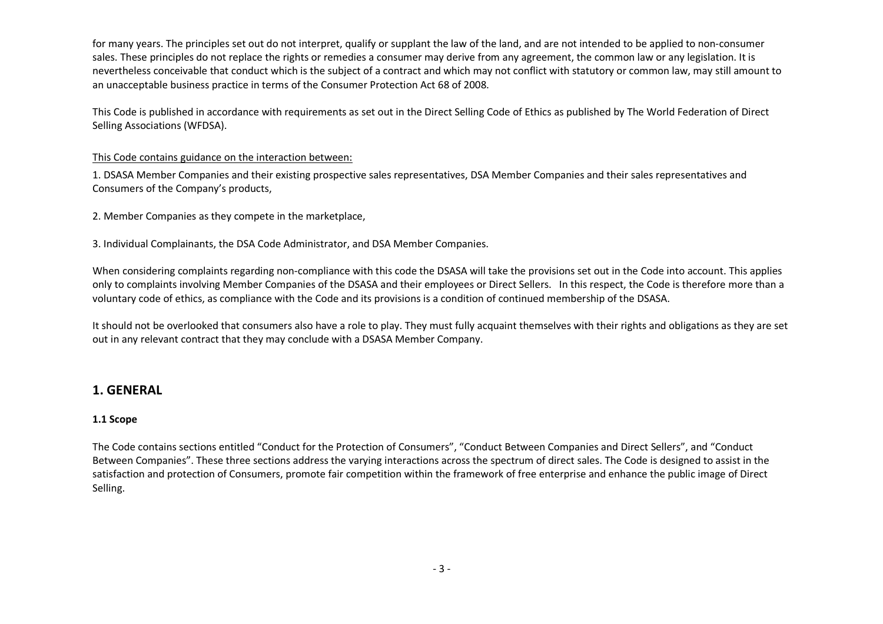for many year. It's principles are tot do not interact, qualify e supplied the lost of the land, and are not interacted to tea points are not interacted as the properties and the state of the state of the interaction betwe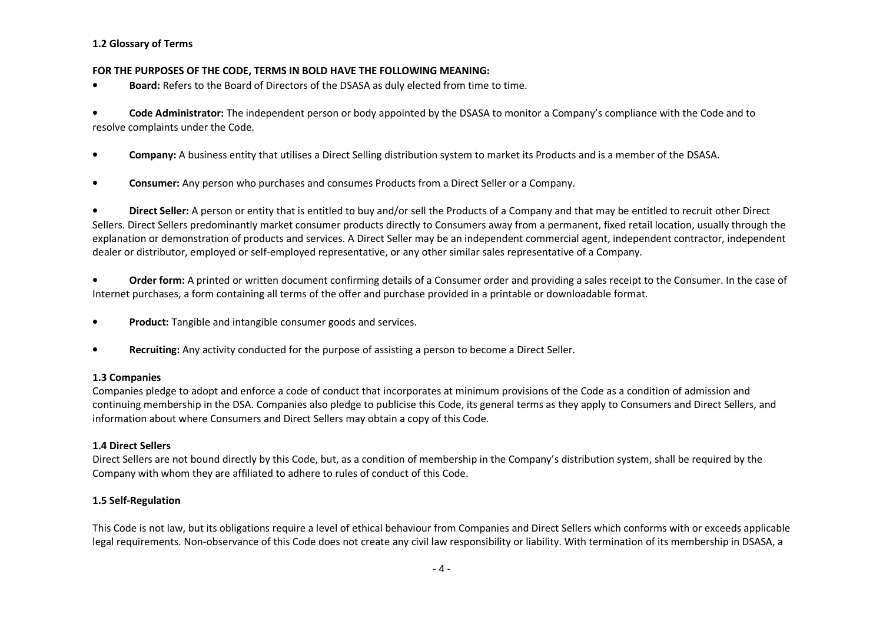- 
- 

L2 Glossary of Fermion States in the CODE, TERMS IN BOLD HANCITHE FOLLOWING MEANING:<br>
FOR THE PURPOSES OF THE CODE, TERMS IN BOLD HANCITHE FOLLOWING MEANING:<br>
Scale Administration: The insequenties of the DS654 as duly el

- 
-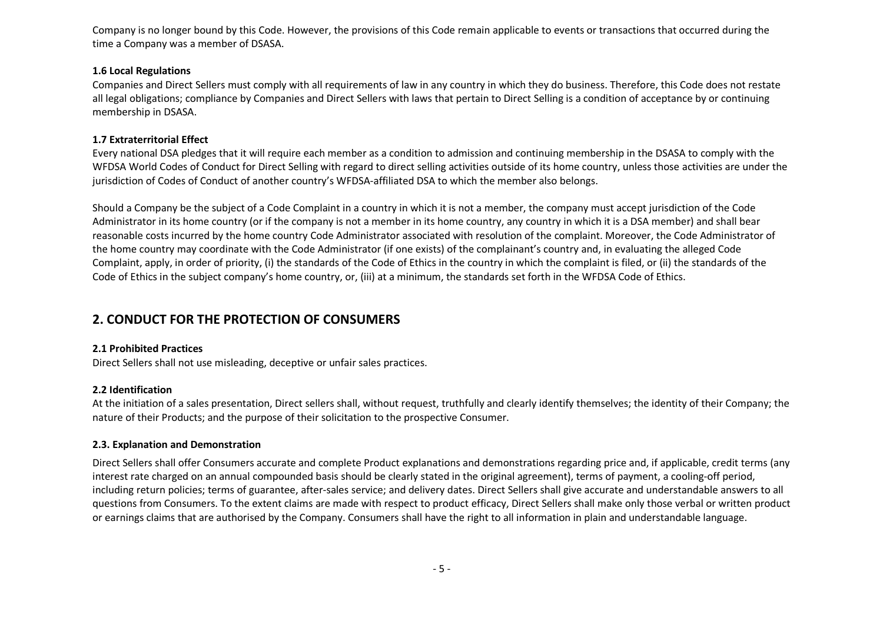Company is no longer bound by this Code. However, the provisions of this Code tremin a pollcable to event or transactions that company and a company in standing the Company and a Company was a member of DSMS.<br>This deal Reg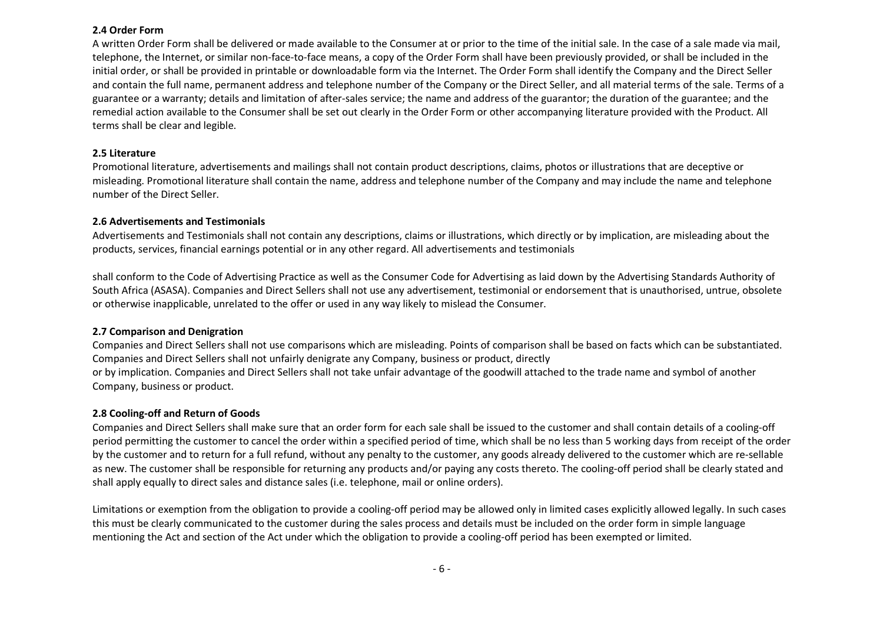24 Octer from<br>a written from shall be delivered or medi available to the Consumer at or prior to the time of the netal sale. In the case of a sale made is much.<br>A written from shall be revised and including the material of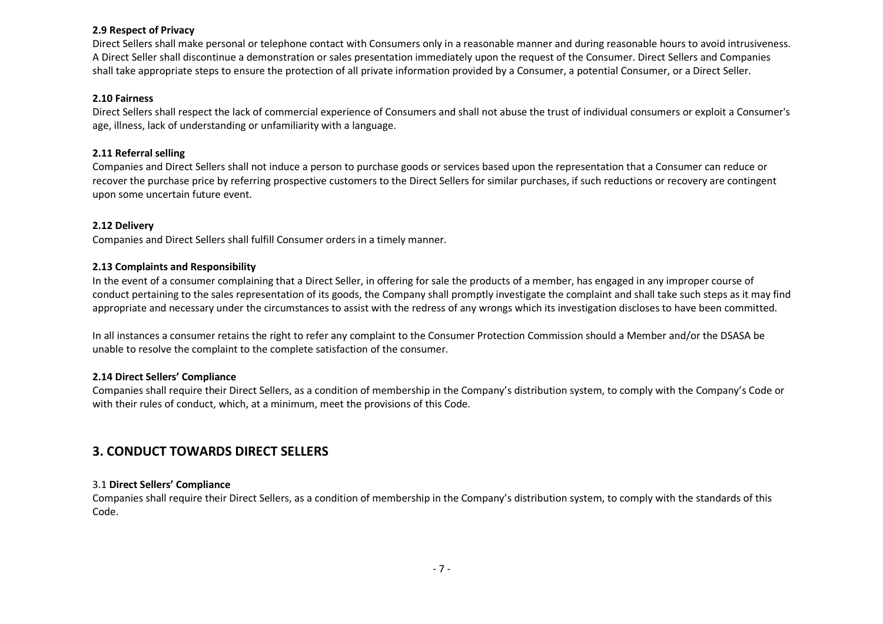2.9 Respect of Privacy<br>2.9 Respect of Privacy control of telephone contact with Consumers only in a neasonable manner and during reasonable hours to avoid intrulyweness.<br>Direct Sellers half these interesting in demonstrati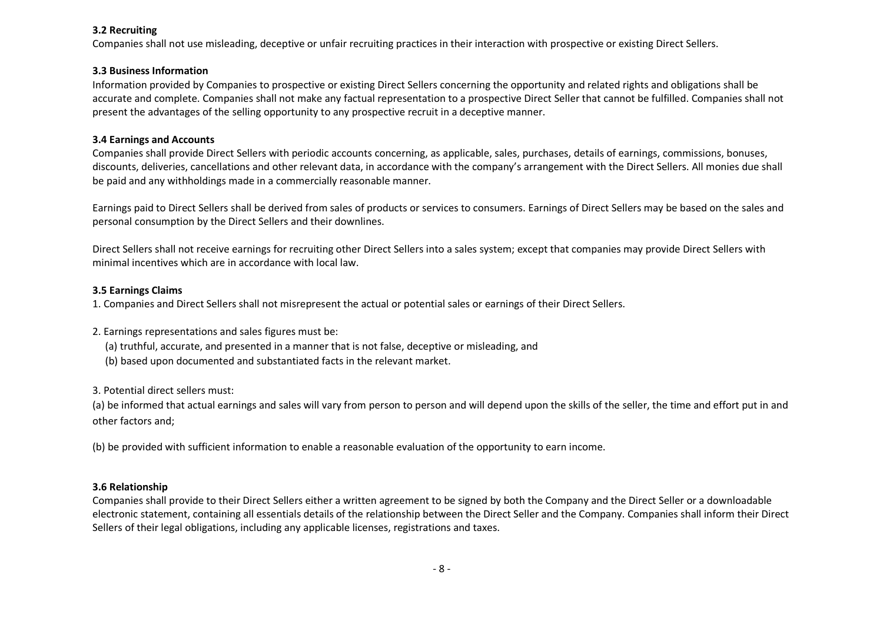32 Recruiting<br>aliable through instantion of the properties of unfair recruiting practices in their interaction with propertive or existing Direct Sellers.<br>To parameter information<br>information conventions and interaction of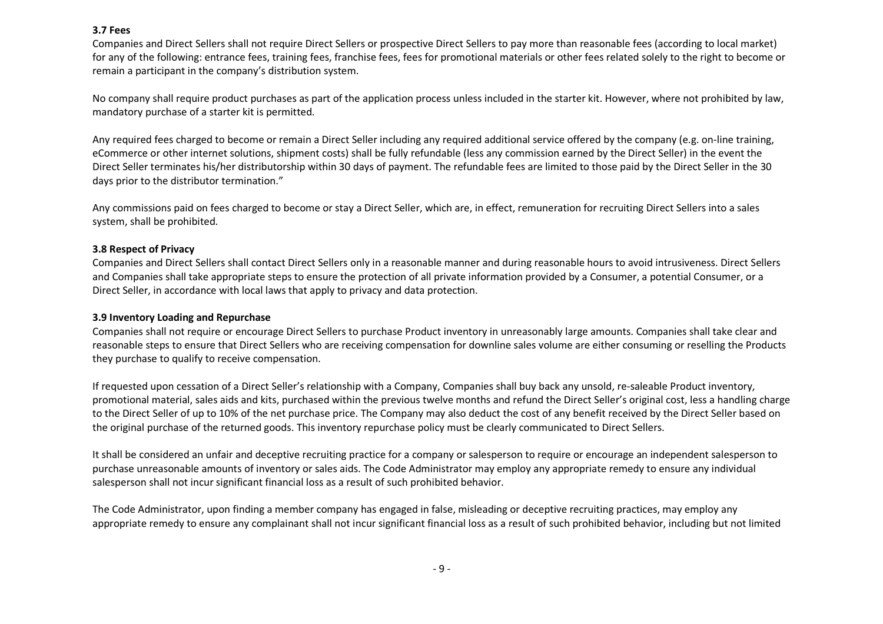37 Fees<br>are the studients and intervention for the Selein or propertie Biret Selein to pay more than resonable free, Jacobidge of the first of the Selection of Company and the studients or core for each of the right to bec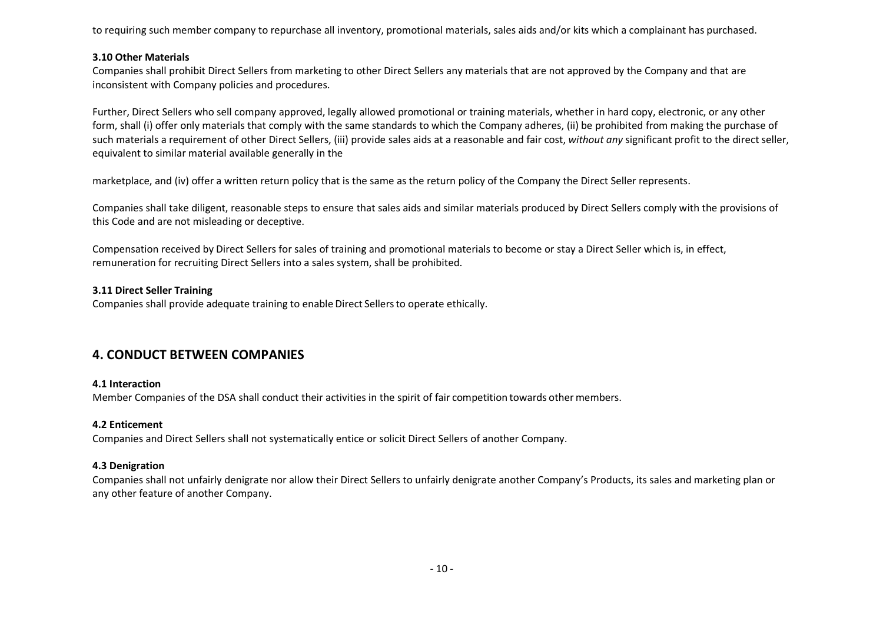to requiring ach member company to repurchase all inventory, promotional materials, sales alds and/or its which a complement has purchased.<br>The other Materials in control of the SMS and the Chinese control of the SMS and t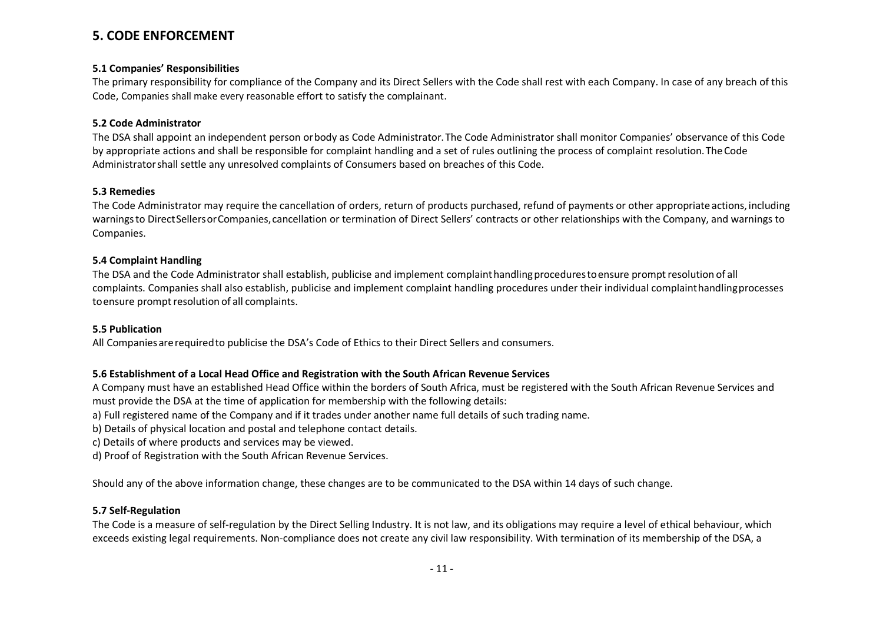5. CODE ENFORCEMENT<br>
3.1 Comparing Repossibilities<br>
Enforcement Repossibility for complement that Company and its Direct Sellers with the Code shall rest with each Company. In case of any breach of this<br>
Code, Comparison R

- 
- 
-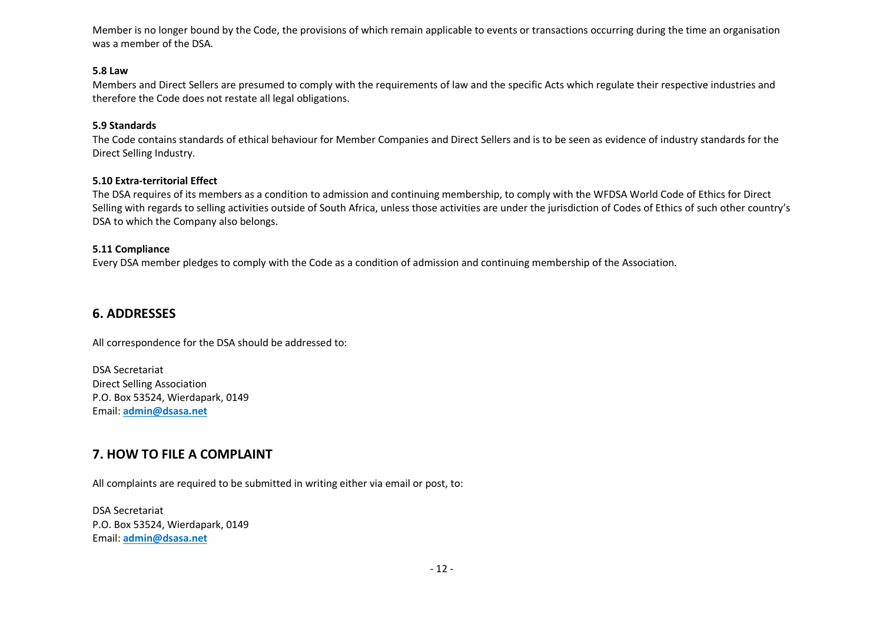Menter is no longer bound by the Code, the provisions of which remain applicable to events or transactions occurring during the time an arganisation<br>was a nember of the DSA.<br>Mean best and Direct Sellers are presumed to com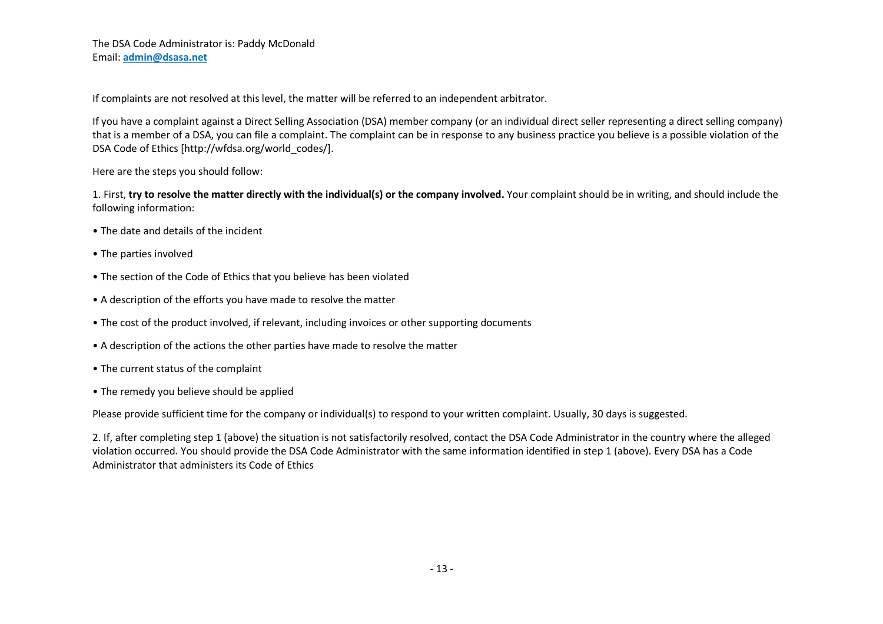- 
- 
- 
- 
- 
- 
- 
- 

The Data Constantinuotrary is: Prediy McDonald<br>The Only Constant and The likelihood of the Marketine Theorem and the referred to an independent arbitrator.<br>If you have a complant against a Direct Selling Association (DSA)